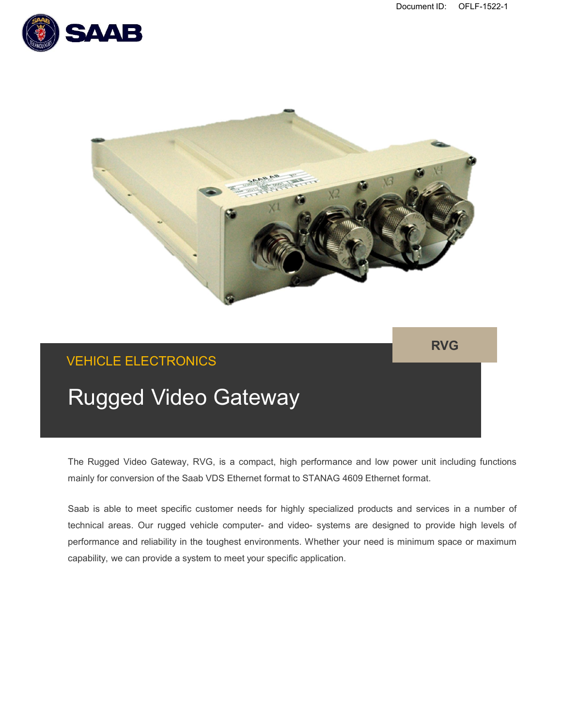



**RVG**

## VEHICLE ELECTRONICS

# Rugged Video Gateway

The Rugged Video Gateway, RVG, is a compact, high performance and low power unit including functions mainly for conversion of the Saab VDS Ethernet format to STANAG 4609 Ethernet format.

Saab is able to meet specific customer needs for highly specialized products and services in a number of technical areas. Our rugged vehicle computer- and video- systems are designed to provide high levels of performance and reliability in the toughest environments. Whether your need is minimum space or maximum capability, we can provide a system to meet your specific application.